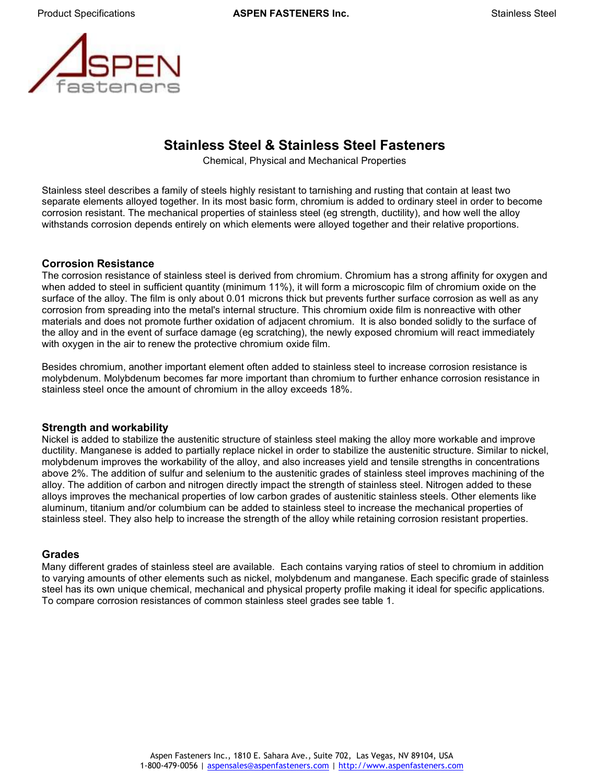

# **Stainless Steel & Stainless Steel Fasteners**

Chemical, Physical and Mechanical Properties

Stainless steel describes a family of steels highly resistant to tarnishing and rusting that contain at least two separate elements alloyed together. In its most basic form, chromium is added to ordinary steel in order to become corrosion resistant. The mechanical properties of stainless steel (eg strength, ductility), and how well the alloy withstands corrosion depends entirely on which elements were alloyed together and their relative proportions.

#### **Corrosion Resistance**

The corrosion resistance of stainless steel is derived from chromium. Chromium has a strong affinity for oxygen and when added to steel in sufficient quantity (minimum 11%), it will form a microscopic film of chromium oxide on the surface of the alloy. The film is only about 0.01 microns thick but prevents further surface corrosion as well as any corrosion from spreading into the metal's internal structure. This chromium oxide film is nonreactive with other materials and does not promote further oxidation of adjacent chromium. It is also bonded solidly to the surface of the alloy and in the event of surface damage (eg scratching), the newly exposed chromium will react immediately with oxygen in the air to renew the protective chromium oxide film.

Besides chromium, another important element often added to stainless steel to increase corrosion resistance is molybdenum. Molybdenum becomes far more important than chromium to further enhance corrosion resistance in stainless steel once the amount of chromium in the alloy exceeds 18%.

#### **Strength and workability**

Nickel is added to stabilize the austenitic structure of stainless steel making the alloy more workable and improve ductility. Manganese is added to partially replace nickel in order to stabilize the austenitic structure. Similar to nickel, molybdenum improves the workability of the alloy, and also increases yield and tensile strengths in concentrations above 2%. The addition of sulfur and selenium to the austenitic grades of stainless steel improves machining of the alloy. The addition of carbon and nitrogen directly impact the strength of stainless steel. Nitrogen added to these alloys improves the mechanical properties of low carbon grades of austenitic stainless steels. Other elements like aluminum, titanium and/or columbium can be added to stainless steel to increase the mechanical properties of stainless steel. They also help to increase the strength of the alloy while retaining corrosion resistant properties.

#### **Grades**

Many different grades of stainless steel are available. Each contains varying ratios of steel to chromium in addition to varying amounts of other elements such as nickel, molybdenum and manganese. Each specific grade of stainless steel has its own unique chemical, mechanical and physical property profile making it ideal for specific applications. To compare corrosion resistances of common stainless steel grades see table 1.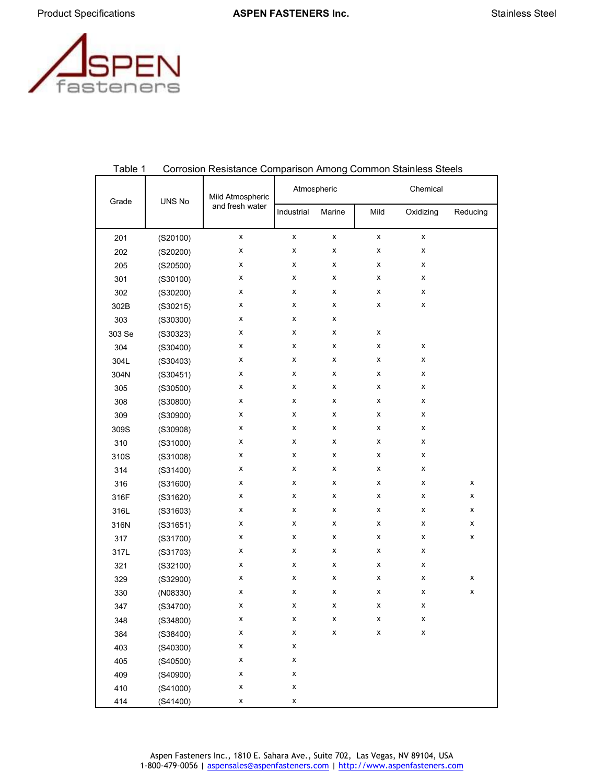

|        | UNS No   | Mild Atmospheric | Atmospheric        |        |                    | Chemical  |          |  |  |
|--------|----------|------------------|--------------------|--------|--------------------|-----------|----------|--|--|
| Grade  |          | and fresh water  | Industrial         | Marine | Mild               | Oxidizing | Reducing |  |  |
| 201    | (S20100) | x                | X                  | x      | X                  | x         |          |  |  |
| 202    | (S20200) | X                | x                  | X      | x                  | x         |          |  |  |
| 205    | (S20500) | х                | x                  | X      | X                  | x         |          |  |  |
| 301    | (S30100) | х                | x                  | X      | x                  | x         |          |  |  |
| 302    | (S30200) | х                | x                  | X      | x                  | x         |          |  |  |
| 302B   | (S30215) | х                | x                  | X      | X                  | x         |          |  |  |
| 303    | (S30300) | x                | x                  | X      |                    |           |          |  |  |
| 303 Se | (S30323) | x                | x                  | x      | x                  |           |          |  |  |
| 304    | (S30400) | х                | х                  | X      | x                  | x         |          |  |  |
| 304L   | (S30403) | х                | х                  | X      | x                  | x         |          |  |  |
| 304N   | (S30451) | X                | x                  | X      | X                  | x         |          |  |  |
| 305    | (S30500) | X                | x                  | X      | x                  | x         |          |  |  |
| 308    | (S30800) | х                | x                  | x      | x                  | x         |          |  |  |
| 309    | (S30900) | х                | x                  | x      | x                  | x         |          |  |  |
| 309S   | (S30908) | х                | x                  | X      | x                  | x         |          |  |  |
| 310    | (S31000) | х                | x                  | X      | X                  | x         |          |  |  |
| 310S   | (S31008) | х                | x                  | X      | x                  | x         |          |  |  |
| 314    | (S31400) | x                | x                  | X      | x                  | x         |          |  |  |
| 316    | (S31600) | х                | x                  | X      | x                  | x         | x        |  |  |
| 316F   | (S31620) | x                | x                  | X      | x                  | x         | X        |  |  |
| 316L   | (S31603) | X                | x                  | X      | x                  | X         | x        |  |  |
| 316N   | (S31651) | X                | x                  | X      | x                  | x         | x        |  |  |
| 317    | (S31700) | х                | х                  | X      | x                  | x         | X        |  |  |
| 317L   | (S31703) | х                | х                  | X      | x                  | x         |          |  |  |
| 321    | (S32100) | х                | x                  | X      | x                  | x         |          |  |  |
| 329    | (S32900) | х                | x                  | X      | X                  | x         | Χ        |  |  |
| 330    | (NO8330) | х                | x                  | X      | x                  | x         | x        |  |  |
| 347    | (S34700) | X                | x                  | Χ      | x                  | x         |          |  |  |
| 348    | (S34800) | X                | x                  | X      | X                  | X         |          |  |  |
| 384    | (S38400) | Χ                | $\pmb{\mathsf{X}}$ | X      | $\pmb{\mathsf{X}}$ | X         |          |  |  |
| 403    | (S40300) | X                | X                  |        |                    |           |          |  |  |
| 405    | (S40500) | X                | X                  |        |                    |           |          |  |  |
| 409    | (S40900) | Χ                | Χ                  |        |                    |           |          |  |  |
| 410    | (S41000) | X                | X                  |        |                    |           |          |  |  |
| 414    | (S41400) | X                | X                  |        |                    |           |          |  |  |

#### Table 1 Corrosion Resistance Comparison Among Common Stainless Steels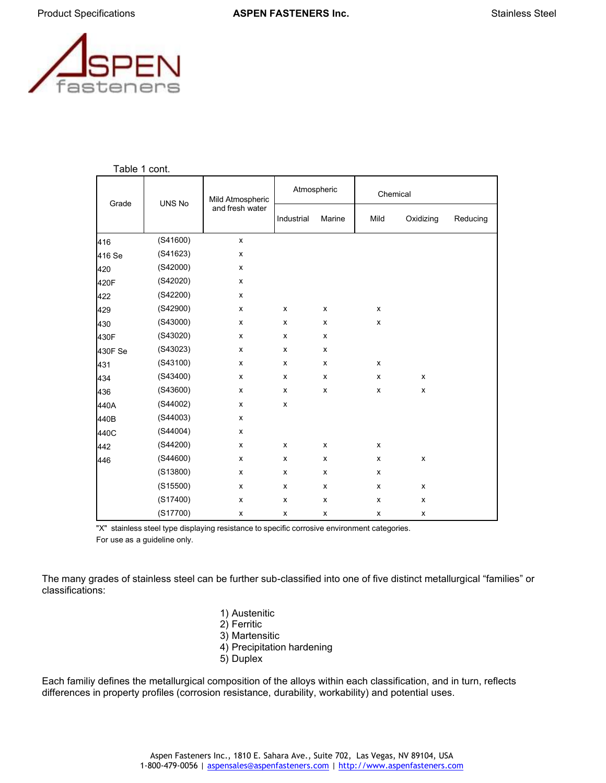



Table 1 cont.

| Grade   | UNS No   | Mild Atmospheric |            | Atmospheric | Chemical           |           |          |
|---------|----------|------------------|------------|-------------|--------------------|-----------|----------|
|         |          | and fresh water  | Industrial | Marine      | Mild               | Oxidizing | Reducing |
| 416     | (S41600) | x                |            |             |                    |           |          |
| 416 Se  | (S41623) | X                |            |             |                    |           |          |
| 420     | (S42000) | x                |            |             |                    |           |          |
| 420F    | (S42020) | x                |            |             |                    |           |          |
| 422     | (S42200) | x                |            |             |                    |           |          |
| 429     | (S42900) | x                | x          | x           | X                  |           |          |
| 430     | (S43000) | x                | x          | x           | $\pmb{\mathsf{x}}$ |           |          |
| 430F    | (S43020) | x                | x          | x           |                    |           |          |
| 430F Se | (S43023) | x                | x          | x           |                    |           |          |
| 431     | (S43100) | x                | X          | x           | X                  |           |          |
| 434     | (S43400) | x                | x          | x           | x                  | x         |          |
| 436     | (S43600) | x                | x          | x           | $\pmb{\times}$     | x         |          |
| 440A    | (S44002) | x                | x          |             |                    |           |          |
| 440B    | (S44003) | x                |            |             |                    |           |          |
| 440C    | (S44004) | x                |            |             |                    |           |          |
| 442     | (S44200) | x                | X          | X           | X                  |           |          |
| 446     | (S44600) | x                | x          | x           | x                  | x         |          |
|         | (S13800) | x                | x          | x           | x                  |           |          |
|         | (S15500) | x                | x          | x           | x                  | x         |          |
|         | (S17400) | x                | x          | x           | x                  | x         |          |
|         | (S17700) | x                | x          | x           | x                  | x         |          |

"X" stainless steel type displaying resistance to specific corrosive environment categories. For use as a guideline only.

The many grades of stainless steel can be further sub-classified into one of five distinct metallurgical "families" or classifications:

- 1) Austenitic
- 2) Ferritic
- 3) Martensitic
- 4) Precipitation hardening
- 5) Duplex

Each familiy defines the metallurgical composition of the alloys within each classification, and in turn, reflects differences in property profiles (corrosion resistance, durability, workability) and potential uses.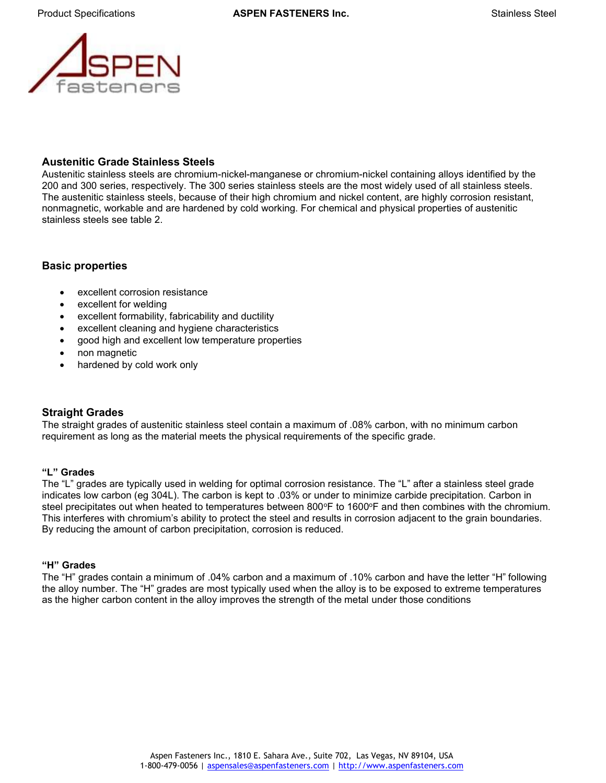

# **Austenitic Grade Stainless Steels**

Austenitic stainless steels are chromium-nickel-manganese or chromium-nickel containing alloys identified by the 200 and 300 series, respectively. The 300 series stainless steels are the most widely used of all stainless steels. The austenitic stainless steels, because of their high chromium and nickel content, are highly corrosion resistant, nonmagnetic, workable and are hardened by cold working. For chemical and physical properties of austenitic stainless steels see table 2.

# **Basic properties**

- excellent corrosion resistance
- excellent for welding
- excellent formability, fabricability and ductility
- excellent cleaning and hygiene characteristics
- good high and excellent low temperature properties
- non magnetic
- hardened by cold work only

## **Straight Grades**

The straight grades of austenitic stainless steel contain a maximum of .08% carbon, with no minimum carbon requirement as long as the material meets the physical requirements of the specific grade.

## **"L" Grades**

The "L" grades are typically used in welding for optimal corrosion resistance. The "L" after a stainless steel grade indicates low carbon (eg 304L). The carbon is kept to .03% or under to minimize carbide precipitation. Carbon in steel precipitates out when heated to temperatures between 800°F to 1600°F and then combines with the chromium. This interferes with chromium's ability to protect the steel and results in corrosion adjacent to the grain boundaries. By reducing the amount of carbon precipitation, corrosion is reduced.

## **"H" Grades**

The "H" grades contain a minimum of .04% carbon and a maximum of .10% carbon and have the letter "H" following the alloy number. The "H" grades are most typically used when the alloy is to be exposed to extreme temperatures as the higher carbon content in the alloy improves the strength of the metal under those conditions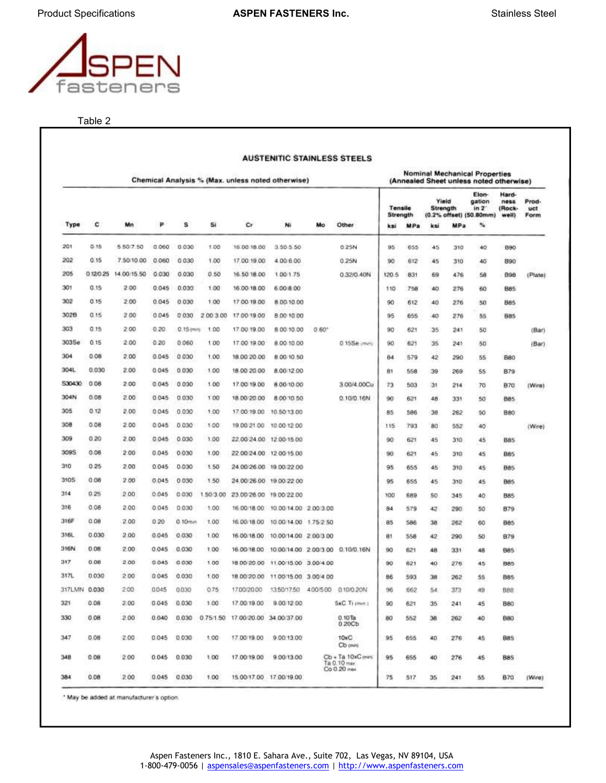

Table 2

|              |          |             |       |               |           | Chemical Analysis % (Max. unless noted otherwise) |                                              |                |                                                  | (Annealed Sheet unless noted otherwise) |     |                   |                 |                                                        |                                  |                      |
|--------------|----------|-------------|-------|---------------|-----------|---------------------------------------------------|----------------------------------------------|----------------|--------------------------------------------------|-----------------------------------------|-----|-------------------|-----------------|--------------------------------------------------------|----------------------------------|----------------------|
|              |          |             |       |               |           |                                                   |                                              |                |                                                  | Tensile<br>Strength                     |     | Yield<br>Strength |                 | Elon-<br>gation<br>$in 2^-$<br>(0.2% offset) (50.80mm) | Hard-<br>ness<br>(Rock-<br>well) | Prod-<br>uct<br>Form |
| Type         | c        | Mn          | P     | s             | Si        | Cr                                                | Ni                                           | Mo             | Other                                            | ksi                                     | MPa | ksi               | MP <sub>a</sub> | 製                                                      |                                  |                      |
| 201          | 0.15     | 5.50.7.50   | 0.060 | 0.030         | 1.00      | 16.00.18.00                                       | 3 50 5 50                                    |                | 0.25N                                            | 95                                      | 655 | 45                | 310             | 40                                                     | <b>B90</b>                       |                      |
| 202          | 0.15     | 7.50/10.00  | 0.060 | 0.030         | 1.00      | 17.00.19.00                                       | 4.00.6.00                                    |                | 0.25N                                            | 90                                      | 612 | 45                | 310             | 40                                                     | 890                              |                      |
| 205          | 0.120.25 | 14.00 15.50 | 0.030 | 0.030         | 0,50      | 16.50.18.00                                       | 1.00 1.75                                    |                | 0.32/0.40N                                       | 120.5                                   | 831 | 69                | 476             | 58                                                     | <b>B98</b>                       | (Plate)              |
| 301          | 0.15     | 2.00        | 0.045 | 0.030         | 1.00      | 16.00 18.00                                       | 6.00.8.00                                    |                |                                                  | 110                                     | 758 | 40                | 276             | 60                                                     | <b>B85</b>                       |                      |
| 302          | 0.15     | 2.00        | 0.045 | 0.030         | 1.00      | 17:00 19:00                                       | 8.00/10.00                                   |                |                                                  | 90                                      | 612 | 40                | 276             | 50                                                     | 885                              |                      |
| 302B         | 0.15     | 2.00        | 0.045 | 0.030         | 2 00 3 00 | 17.00.19.00                                       | 8.00 10.00                                   |                |                                                  | 95                                      | 655 | 40                | 276             | 55                                                     | 885                              |                      |
| 303          | 0.15     | 2.00        | 0.20  | $0.15$ erring | 1.00      | 17:00 19:00                                       | 8 00 10 00                                   | $0.60^{\circ}$ |                                                  | 90                                      | 621 | 35                | 241             | 50                                                     |                                  | (Bar)                |
| 303Se        | 0.15     | 2.00        | 0.20  | 0.060         | 1.00      | 17.00 19.00                                       | 8 00 10 00                                   |                | 0.15Se. (matt)                                   | 90                                      | 621 | 35                | 241             | 50                                                     |                                  | (Bar)                |
| 304          | 0.06     | 2.00        | 0.045 | 0.030         | 1.00      | 18.00 20.00                                       | 8.00 10:50                                   |                |                                                  | 84                                      | 579 | 42                | 290             | 55                                                     | <b>B80</b>                       |                      |
| 304L         | 0.030    | 2.00        | 0.045 | 0.030         | 1.00      | 18.00 20.00                                       | 8.00 12.00                                   |                |                                                  | 81                                      | 558 | 39                | 269             | 55                                                     | <b>B79</b>                       |                      |
| S30430       | 0.08     | 2.00        | 0.045 | 0.030         | 1.00      | 17.00 19.00                                       | 8.00 10.00                                   |                | 3.00/4.00Cu                                      | 73                                      | 503 | 31                | 214             | 70                                                     | <b>B70</b>                       | (Wire)               |
| 304N         | 0.08     | 2.00        | 0.045 | 0.030         | 1.00      | 18.00 20.00                                       | 8.00 10.50                                   |                | 0.10/0.16N                                       | 90                                      | 621 | 48                | 331             | 50                                                     | B85                              |                      |
| 305          | 0.12     | 2.00        | 0.045 | 0.030         | 1:00      | 17.00.19.00                                       | 10.50 13.00                                  |                |                                                  | 85                                      | 586 | 38                | 262             | 50                                                     | <b>BB0</b>                       |                      |
| 308          | 0.08     | 2.00        | 0.045 | 0.030         | 1.00      |                                                   | 19.00.21.00 10.00.12.00                      |                |                                                  | 115                                     | 793 | 80                | 552             | 40                                                     |                                  | (Wire)               |
| 309          | 0.20     | 2.00        | 0.045 | 0.030         | 1.00      |                                                   | 22.00.24.00 12.00.15.00                      |                |                                                  | 90                                      | 621 | 45                | 310             | 45                                                     | <b>B85</b>                       |                      |
| 309S         | 0.08     | 200         | 0.045 | 0.030         | 1.00      |                                                   | 22.00.24.00 12.00.15.00                      |                |                                                  | 90                                      | 621 | 45                | 310             | 45                                                     | <b>B85</b>                       |                      |
| 310          | 0.25     | 2.00        | 0.045 | 0.030         | 1.50      |                                                   | 24.00.26.00 19.00.22.00                      |                |                                                  | 95                                      | 655 | 45                | 310             | 45                                                     | <b>BB5</b>                       |                      |
| 3105         | 0.08     | 2.00        | 0.045 | 0.030         | 1.50      |                                                   | 24.00.26.00 19:00:22.00                      |                |                                                  | 95                                      | 655 | 45                | 310             | 45                                                     | <b>B85</b>                       |                      |
| 314          | 0.25     | 2.00        | 0.045 | 0.030         | 1.50/3.00 |                                                   | 23.00/26.00 19.00/22.00                      |                |                                                  | 100                                     | 589 | 50                | 345             | 40                                                     | <b>B85</b>                       |                      |
| 316          | 0.08     | 2.00        | 0.045 | 0.030         | 1.00      |                                                   | 16:00:18:00 10:00:14:00 2:00:3:00            |                |                                                  | 84                                      | 579 | 42                | 290             | 50                                                     | <b>B79</b>                       |                      |
| 316F         | 0.08     | 2.00        | 0.20  | 0.10mm        | 1.00      | 16.00 18.00                                       | 10.00 14.00 1.75 2.50                        |                |                                                  | 85                                      | 586 | 38                | 262             | 60                                                     | <b>B85</b>                       |                      |
| 316L         | 0.030    | 2.00        | 0.045 | 0.030         | 1.00      | 16.00/18.00                                       | 10.00/14.00 2.00/3.00                        |                |                                                  | 81                                      | 558 | 42                | 290             | 50                                                     | <b>B79</b>                       |                      |
| 316N         | 0.08     | 2.00        | 0.045 | 0.030         | 1.00      | 16.00/18.00                                       | 10.00/14.00 2.00/3.00 0.10/0.16N             |                |                                                  | 90                                      | 621 | 48                | 331             | 48                                                     | 885                              |                      |
| 317          | 0.08     | 2.00        | 0.045 | 0.030         | 1.00      |                                                   | 18.00 20.00 11.00 15.00 3.00 4.00            |                |                                                  | 90                                      | 621 | 40                | 276             | 45                                                     | <b>B85</b>                       |                      |
| 317L         | 0.030    | 2.00        | 0.045 | 0.030         | 1.00      |                                                   | 18.00/20.00 11.00/15.00 3.00/4.00            |                |                                                  | BB                                      | 593 | 38                | 262             | 55                                                     | <b>BB5</b>                       |                      |
| 317LMN 0.030 |          | 2.00        | 0045  | 0030          | 0.75      |                                                   | 17.00/20.00 13.50/17.50 4.00/5.00 0.10/0.20N |                |                                                  | 96                                      | 662 | 54                | 373             | 49                                                     | 888                              |                      |
| 321          | 0.08     | 2.00        | 0.045 | 0.030         | 1.00      |                                                   | 17.00.19.00 9.00.12.00                       |                | <b>SxC.Ti (mm.)</b>                              | 90                                      | 621 | 35                | 241             | 45                                                     | <b>B80</b>                       |                      |
| 330          | 0.08     | 2.00        | 0.040 | 0.030         | 0.75/1.50 | 17.00/20.00 34.00/37.00                           |                                              |                | $0.10$ Ta<br>0.20Cb                              | 80                                      | 552 | 38                | 262             | 40                                                     | <b>BBO</b>                       |                      |
| 347          | 0.08     | 2.00        | 0.045 | 0.030         | 1.00      |                                                   | 17.00 19.00 9.00 13.00                       |                | 10xC<br>Cb (min)                                 | 95                                      | 655 | 40                | 276             | 45                                                     | B85                              |                      |
| 348          | 0.08     | 2.00        | 0.045 | 0.030         | 1.00      | 17.00.19.00                                       | 9.00 13.00                                   |                | Cb + Ta 10xC (min)<br>Ta 0.10 max<br>Co 0.20 max | 95                                      | 655 | 40                | 276             | 45                                                     | <b>B85</b>                       |                      |
| 384          | 0.08     | 2.00        | 0.045 | 0.030         | 1.00      |                                                   | 15.00/17.00 17.00/19.00                      |                |                                                  | 75                                      | 517 | 35                | 241             | 55                                                     | 870                              | (Wire)               |

\* May be added at manufacturer's option.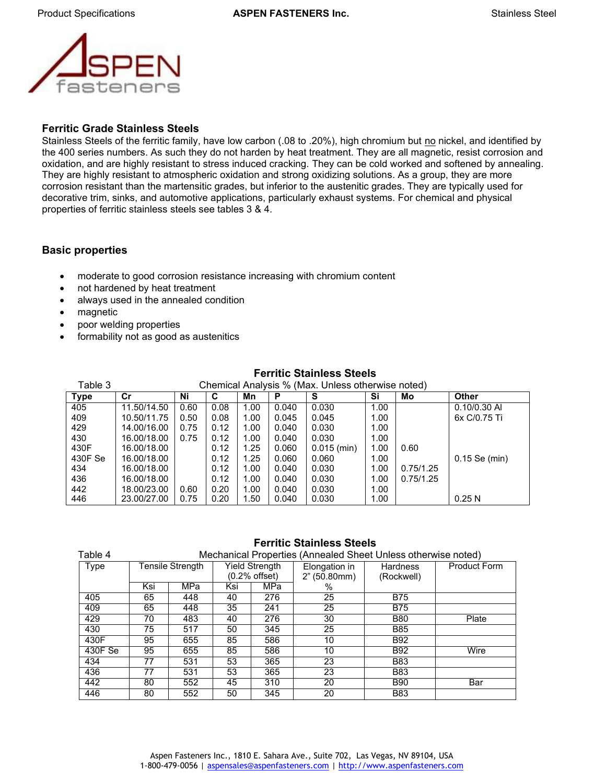

#### **Ferritic Grade Stainless Steels**

Stainless Steels of the ferritic family, have low carbon (.08 to .20%), high chromium but no nickel, and identified by the 400 series numbers. As such they do not harden by heat treatment. They are all magnetic, resist corrosion and oxidation, and are highly resistant to stress induced cracking. They can be cold worked and softened by annealing. They are highly resistant to atmospheric oxidation and strong oxidizing solutions. As a group, they are more corrosion resistant than the martensitic grades, but inferior to the austenitic grades. They are typically used for decorative trim, sinks, and automotive applications, particularly exhaust systems. For chemical and physical properties of ferritic stainless steels see tables 3 & 4.

#### **Basic properties**

- moderate to good corrosion resistance increasing with chromium content
- not hardened by heat treatment
- always used in the annealed condition
- magnetic
- poor welding properties
- formability not as good as austenitics

| Table 3     | Chemical Analysis % (Max. Unless otherwise noted) |      |      |      |       |               |      |           |                 |  |  |
|-------------|---------------------------------------------------|------|------|------|-------|---------------|------|-----------|-----------------|--|--|
| <b>Type</b> | Cr                                                | Ni   | С    | Mn   | Р     | S             | Si   | Mo        | <b>Other</b>    |  |  |
| 405         | 11.50/14.50                                       | 0.60 | 0.08 | 1.00 | 0.040 | 0.030         | 1.00 |           | $0.10/0.30$ AI  |  |  |
| 409         | 10.50/11.75                                       | 0.50 | 0.08 | 1.00 | 0.045 | 0.045         | 1.00 |           | 6x C/0.75 Ti    |  |  |
| 429         | 14.00/16.00                                       | 0.75 | 0.12 | 1.00 | 0.040 | 0.030         | 1.00 |           |                 |  |  |
| 430         | 16.00/18.00                                       | 0.75 | 0.12 | 1.00 | 0.040 | 0.030         | 1.00 |           |                 |  |  |
| 430F        | 16.00/18.00                                       |      | 0.12 | 1.25 | 0.060 | $0.015$ (min) | 1.00 | 0.60      |                 |  |  |
| 430F Se     | 16.00/18.00                                       |      | 0.12 | 1.25 | 0.060 | 0.060         | 1.00 |           | $0.15$ Se (min) |  |  |
| 434         | 16.00/18.00                                       |      | 0.12 | 1.00 | 0.040 | 0.030         | 1.00 | 0.75/1.25 |                 |  |  |
| 436         | 16.00/18.00                                       |      | 0.12 | 1.00 | 0.040 | 0.030         | 1.00 | 0.75/1.25 |                 |  |  |
| 442         | 18.00/23.00                                       | 0.60 | 0.20 | 1.00 | 0.040 | 0.030         | 1.00 |           |                 |  |  |
| 446         | 23.00/27.00                                       | 0.75 | 0.20 | 1.50 | 0.040 | 0.030         | 1.00 |           | 0.25N           |  |  |

#### **Ferritic Stainless Steels**

#### **Ferritic Stainless Steels**

| Table 4 |     |                  |     |                                 | Mechanical Properties (Annealed Sheet Unless otherwise noted) |                        |                     |
|---------|-----|------------------|-----|---------------------------------|---------------------------------------------------------------|------------------------|---------------------|
| Type    |     | Tensile Strength |     | Yield Strength<br>(0.2% offset) | Elongation in<br>2" (50.80mm)                                 | Hardness<br>(Rockwell) | <b>Product Form</b> |
|         | Ksi | MPa              | Ksi | MPa                             | $\%$                                                          |                        |                     |
| 405     | 65  | 448              | 40  | 276                             | 25                                                            | <b>B75</b>             |                     |
| 409     | 65  | 448              | 35  | 241                             | 25                                                            | <b>B75</b>             |                     |
| 429     | 70  | 483              | 40  | 276                             | 30                                                            | <b>B80</b>             | Plate               |
| 430     | 75  | 517              | 50  | 345                             | 25                                                            | <b>B85</b>             |                     |
| 430F    | 95  | 655              | 85  | 586                             | 10                                                            | <b>B92</b>             |                     |
| 430F Se | 95  | 655              | 85  | 586                             | 10                                                            | <b>B92</b>             | Wire                |
| 434     | 77  | 531              | 53  | 365                             | 23                                                            | <b>B83</b>             |                     |
| 436     | 77  | 531              | 53  | 365                             | 23                                                            | <b>B83</b>             |                     |
| 442     | 80  | 552              | 45  | 310                             | 20                                                            | <b>B90</b>             | Bar                 |
| 446     | 80  | 552              | 50  | 345                             | 20                                                            | <b>B83</b>             |                     |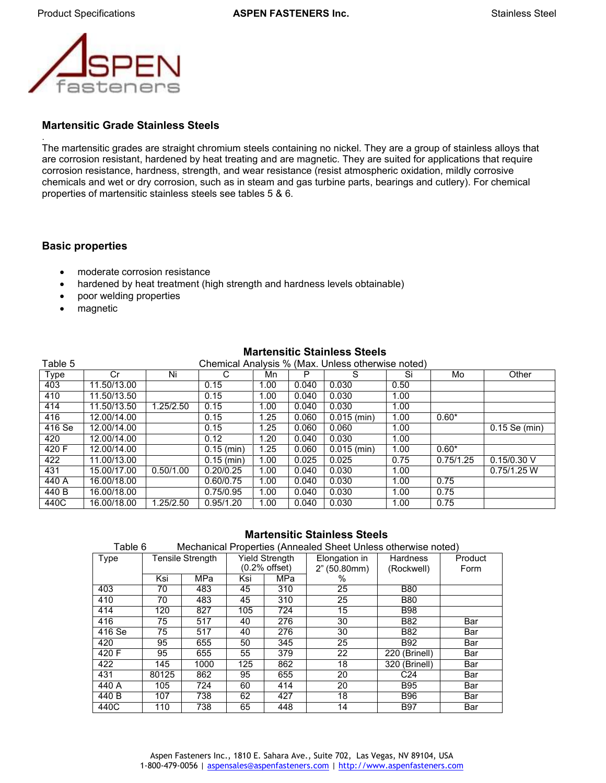

#### **Martensitic Grade Stainless Steels**

. The martensitic grades are straight chromium steels containing no nickel. They are a group of stainless alloys that are corrosion resistant, hardened by heat treating and are magnetic. They are suited for applications that require corrosion resistance, hardness, strength, and wear resistance (resist atmospheric oxidation, mildly corrosive chemicals and wet or dry corrosion, such as in steam and gas turbine parts, bearings and cutlery). For chemical properties of martensitic stainless steels see tables 5 & 6.

#### **Basic properties**

- moderate corrosion resistance
- hardened by heat treatment (high strength and hardness levels obtainable)
- poor welding properties
- magnetic

| Table 5             |             |                        |              |      |       | Chemical Analysis % (Max. Unless otherwise noted) |      |           |                 |
|---------------------|-------------|------------------------|--------------|------|-------|---------------------------------------------------|------|-----------|-----------------|
| Type                | Cr          | Ni                     |              | Mn   | P     |                                                   | Si   | Mo        | Other           |
| 403                 | 11.50/13.00 |                        | 0.15         | 1.00 | 0.040 | 0.030                                             | 0.50 |           |                 |
| 410                 | 11.50/13.50 |                        | 0.15         | 1.00 | 0.040 | 0.030                                             | 1.00 |           |                 |
| 414                 | 11.50/13.50 | 1.25/2.50              | 0.15         | 1.00 | 0.040 | 0.030                                             | 1.00 |           |                 |
| 416                 | 12.00/14.00 |                        | 0.15         | 1.25 | 0.060 | $0.015$ (min)                                     | 1.00 | $0.60*$   |                 |
| $\overline{416}$ Se | 12.00/14.00 |                        | 0.15         | 1.25 | 0.060 | 0.060                                             | 1.00 |           | $0.15$ Se (min) |
| 420                 | 12.00/14.00 |                        | 0.12         | 1.20 | 0.040 | 0.030                                             | 1.00 |           |                 |
| 420 F               | 12.00/14.00 |                        | $0.15$ (min) | 1.25 | 0.060 | $0.015$ (min)                                     | 1.00 | $0.60*$   |                 |
| 422                 | 11.00/13.00 |                        | $0.15$ (min) | 1.00 | 0.025 | 0.025                                             | 0.75 | 0.75/1.25 | $0.15/0.30$ V   |
| 431                 | 15.00/17.00 | 0.50/1.00              | 0.20/0.25    | 1.00 | 0.040 | 0.030                                             | 1.00 |           | 0.75/1.25 W     |
| 440 A               | 16.00/18.00 |                        | 0.60/0.75    | 1.00 | 0.040 | 0.030                                             | 1.00 | 0.75      |                 |
| 440 B               | 16.00/18.00 |                        | 0.75/0.95    | 1.00 | 0.040 | 0.030                                             | 1.00 | 0.75      |                 |
| 440C                | 16.00/18.00 | $\overline{1.25/2.50}$ | 0.95/1.20    | 1.00 | 0.040 | 0.030                                             | 1.00 | 0.75      |                 |

# **Martensitic Stainless Steels**

#### **Martensitic Stainless Steels**

| ⊺able 6 |       |                  | Mechanical Properties (Annealed Sheet Unless otherwise noted) |                 |               |                 |         |  |  |
|---------|-------|------------------|---------------------------------------------------------------|-----------------|---------------|-----------------|---------|--|--|
| Type    |       | Tensile Strength |                                                               | Yield Strength  | Elongation in | <b>Hardness</b> | Product |  |  |
|         |       |                  |                                                               | $(0.2%$ offset) | 2" (50.80mm)  | (Rockwell)      | Form    |  |  |
|         | Ksi   | <b>MPa</b>       | Ksi                                                           | MPa             | %             |                 |         |  |  |
| 403     | 70    | 483              | 45                                                            | 310             | 25            | <b>B80</b>      |         |  |  |
| 410     | 70    | 483              | 45                                                            | 310             | 25            | <b>B80</b>      |         |  |  |
| 414     | 120   | 827              | 105                                                           | 724             | 15            | <b>B98</b>      |         |  |  |
| 416     | 75    | 517              | 40                                                            | 276             | 30            | B82             | Bar     |  |  |
| 416 Se  | 75    | 517              | 40                                                            | 276             | 30            | B82             | Bar     |  |  |
| 420     | 95    | 655              | 50                                                            | 345             | 25            | B92             | Bar     |  |  |
| 420 F   | 95    | 655              | 55                                                            | 379             | 22            | 220 (Brinell)   | Bar     |  |  |
| 422     | 145   | 1000             | 125                                                           | 862             | 18            | 320 (Brinell)   | Bar     |  |  |
| 431     | 80125 | 862              | 95                                                            | 655             | 20            | C24             | Bar     |  |  |
| 440 A   | 105   | 724              | 60                                                            | 414             | 20            | <b>B95</b>      | Bar     |  |  |
| 440 B   | 107   | 738              | 62                                                            | 427             | 18            | <b>B96</b>      | Bar     |  |  |
| 440C    | 110   | 738              | 65                                                            | 448             | 14            | <b>B97</b>      | Bar     |  |  |

Table 6 Mechanical Properties (Annealed Sheet Unless otherwise noted)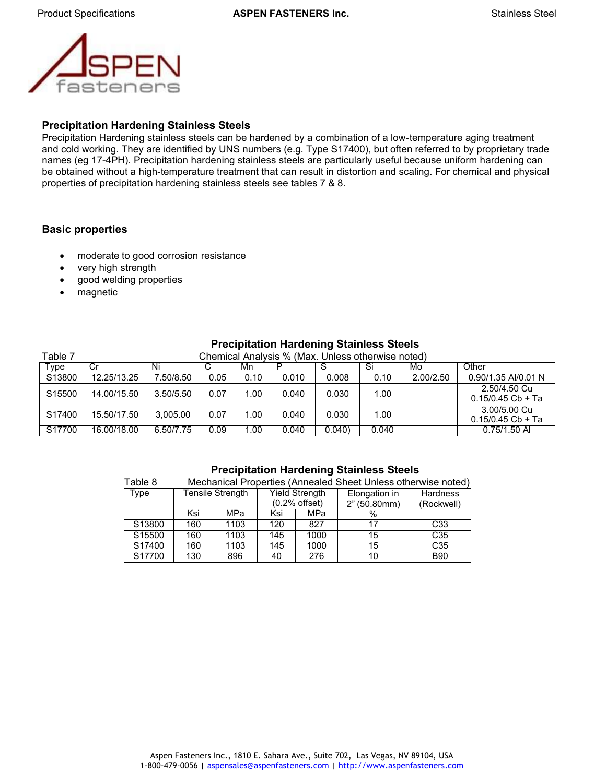

#### **Precipitation Hardening Stainless Steels**

Precipitation Hardening stainless steels can be hardened by a combination of a low-temperature aging treatment and cold working. They are identified by UNS numbers (e.g. Type S17400), but often referred to by proprietary trade names (eg 17-4PH). Precipitation hardening stainless steels are particularly useful because uniform hardening can be obtained without a high-temperature treatment that can result in distortion and scaling. For chemical and physical properties of precipitation hardening stainless steels see tables 7 & 8.

#### **Basic properties**

- moderate to good corrosion resistance
- very high strength
- good welding properties
- magnetic

| Table 7            | Chemical Analysis % (Max. Unless otherwise noted) |           |      |      |       |       |       |           |                                     |  |  |
|--------------------|---------------------------------------------------|-----------|------|------|-------|-------|-------|-----------|-------------------------------------|--|--|
| Type               | Cr                                                | Ni        | С    | Mn   | P     |       | Si    | Mo        | Other                               |  |  |
| S13800             | 12.25/13.25                                       | 7.50/8.50 | 0.05 | 0.10 | 0.010 | 0.008 | 0.10  | 2.00/2.50 | 0.90/1.35 AI/0.01 N                 |  |  |
| S <sub>15500</sub> | 14.00/15.50                                       | 3.50/5.50 | 0.07 | 1.00 | 0.040 | 0.030 | 1.00  |           | 2.50/4.50 Cu<br>$0.15/0.45$ Cb + Ta |  |  |
| S17400             | 15.50/17.50                                       | 3.005.00  | 0.07 | 1.00 | 0.040 | 0.030 | 1.00  |           | 3.00/5.00 Cu<br>$0.15/0.45$ Cb + Ta |  |  |
| S17700             | 16.00/18.00                                       | 6.50/7.75 | 0.09 | 1.00 | 0.040 | 0.040 | 0.040 |           | $0.75/1.50$ AI                      |  |  |

#### **Precipitation Hardening Stainless Steels**

| Table 8            | Mechanical Properties (Annealed Sheet Unless otherwise noted) |                  |                                          |      |                               |                               |  |  |  |  |
|--------------------|---------------------------------------------------------------|------------------|------------------------------------------|------|-------------------------------|-------------------------------|--|--|--|--|
| Type               |                                                               | Tensile Strength | <b>Yield Strength</b><br>$(0.2%$ offset) |      | Elongation in<br>2" (50.80mm) | <b>Hardness</b><br>(Rockwell) |  |  |  |  |
|                    | Ksi                                                           | MPa              | Ksi                                      | MPa  |                               |                               |  |  |  |  |
| S13800             | 160                                                           | 1103             | 120                                      | 827  |                               | C33                           |  |  |  |  |
| S <sub>15500</sub> | 160                                                           | 1103             | 145                                      | 1000 | 15                            | C <sub>35</sub>               |  |  |  |  |
| S17400             | 160                                                           | 1103             | 145                                      | 1000 | 15                            | C <sub>35</sub>               |  |  |  |  |
| S17700             | 130                                                           | 896              | 40                                       | 276  | 10                            | <b>B90</b>                    |  |  |  |  |

#### **Precipitation Hardening Stainless Steels**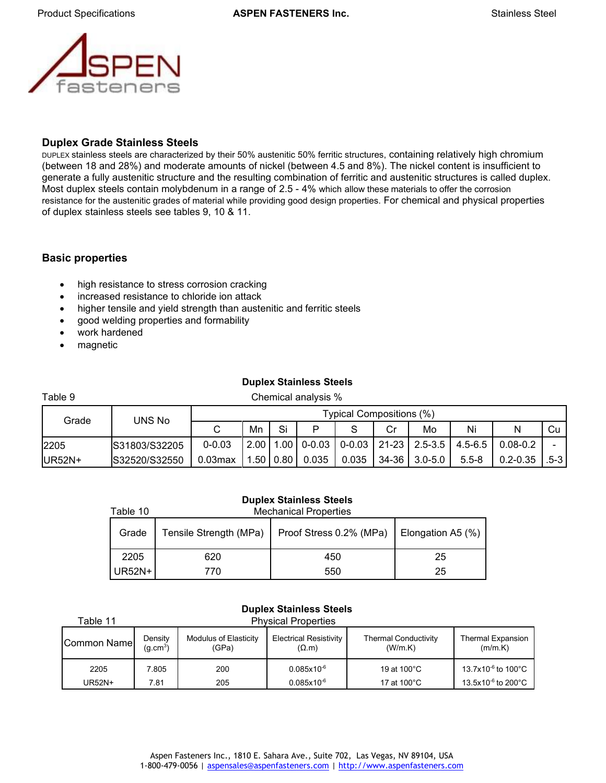

#### **Duplex Grade Stainless Steels**

DUPLEX stainless steels are characterized by their 50% austenitic 50% ferritic structures, containing relatively high chromium (between 18 and 28%) and moderate amounts of nickel (between 4.5 and 8%). The nickel content is insufficient to generate a fully austenitic structure and the resulting combination of ferritic and austenitic structures is called duplex. Most duplex steels contain molybdenum in a range of 2.5 - 4% which allow these materials to offer the corrosion resistance for the austenitic grades of material while providing good design properties. For chemical and physical properties of duplex stainless steels see tables 9, 10 & 11.

#### **Basic properties**

- high resistance to stress corrosion cracking
- increased resistance to chloride ion attack
- higher tensile and yield strength than austenitic and ferritic steels
- good welding properties and formability
- work hardened
- magnetic

#### **Duplex Stainless Steels**

| Table 9 |               |                          |      |            | Chemical analysis % |       |    |                                            |             |              |      |
|---------|---------------|--------------------------|------|------------|---------------------|-------|----|--------------------------------------------|-------------|--------------|------|
| Grade   | UNS No        | Typical Compositions (%) |      |            |                     |       |    |                                            |             |              |      |
|         |               |                          | Mn   | Si         | D                   | S     | Cr | Mo                                         | Ni          | N            | Cu   |
| 2205    | S31803/S32205 | $0 - 0.03$               | 2.00 |            |                     |       |    | $1.00$   0-0.03   0-0.03   21-23   2.5-3.5 | $4.5 - 6.5$ | $0.08 - 0.2$ |      |
| UR52N+  | S32520/S32550 | $0.03$ max               |      | .50   0.80 | 0.035               | 0.035 |    | 34-36 3.0-5.0                              | $5.5 - 8$   | $0.2 - 0.35$ | .5-3 |

#### **Duplex Stainless Steels**

| Table 10 | <b>Mechanical Properties</b> |                         |                   |  |  |  |  |  |  |
|----------|------------------------------|-------------------------|-------------------|--|--|--|--|--|--|
| Grade    | Tensile Strength (MPa)       | Proof Stress 0.2% (MPa) | Elongation A5 (%) |  |  |  |  |  |  |
| 2205     | 620                          | 450                     | 25                |  |  |  |  |  |  |
| UR52N+   | 770                          | 550                     | 25                |  |  |  |  |  |  |

| <b>Duplex Stainless Steels</b>         |                                                                                                                                                                                                     |     |                 |             |                                |  |  |  |  |  |
|----------------------------------------|-----------------------------------------------------------------------------------------------------------------------------------------------------------------------------------------------------|-----|-----------------|-------------|--------------------------------|--|--|--|--|--|
| <b>Physical Properties</b><br>Table 11 |                                                                                                                                                                                                     |     |                 |             |                                |  |  |  |  |  |
| <b>Common Namel</b>                    | <b>Electrical Resistivity</b><br>Modulus of Elasticity<br><b>Thermal Conductivity</b><br><b>Thermal Expansion</b><br>Density<br>(W/m.K)<br>(m/m.K)<br>(q.cm <sup>3</sup> )<br>(GPa)<br>$(\Omega.m)$ |     |                 |             |                                |  |  |  |  |  |
| 2205                                   | 7.805                                                                                                                                                                                               | 200 | $0.085x10^{-6}$ | 19 at 100°C | 13.7x10 <sup>-6</sup> to 100°C |  |  |  |  |  |
| UR52N+                                 | 7.81                                                                                                                                                                                                | 205 | $0.085x10^{-6}$ | 17 at 100°C | 13.5x10 <sup>-6</sup> to 200°C |  |  |  |  |  |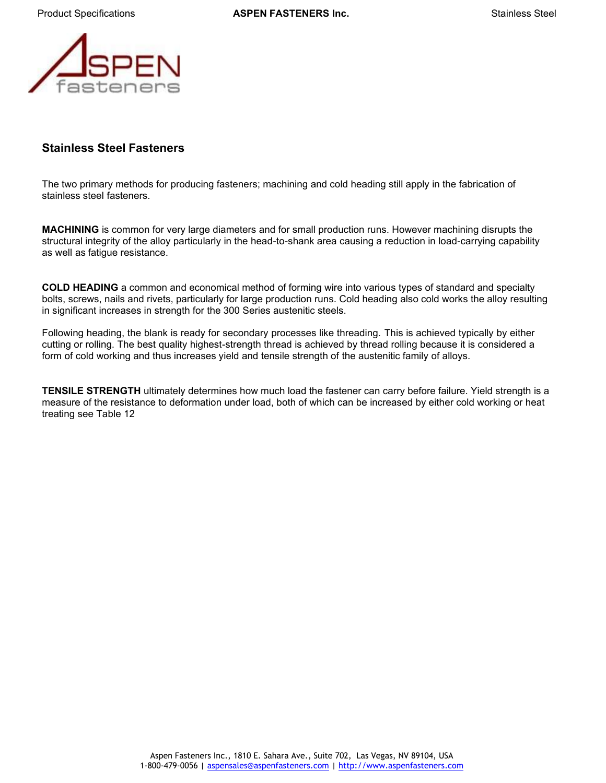

## **Stainless Steel Fasteners**

The two primary methods for producing fasteners; machining and cold heading still apply in the fabrication of stainless steel fasteners.

**MACHINING** is common for very large diameters and for small production runs. However machining disrupts the structural integrity of the alloy particularly in the head-to-shank area causing a reduction in load-carrying capability as well as fatigue resistance.

**COLD HEADING** a common and economical method of forming wire into various types of standard and specialty bolts, screws, nails and rivets, particularly for large production runs. Cold heading also cold works the alloy resulting in significant increases in strength for the 300 Series austenitic steels.

Following heading, the blank is ready for secondary processes like threading. This is achieved typically by either cutting or rolling. The best quality highest-strength thread is achieved by thread rolling because it is considered a form of cold working and thus increases yield and tensile strength of the austenitic family of alloys.

**TENSILE STRENGTH** ultimately determines how much load the fastener can carry before failure. Yield strength is a measure of the resistance to deformation under load, both of which can be increased by either cold working or heat treating see Table 12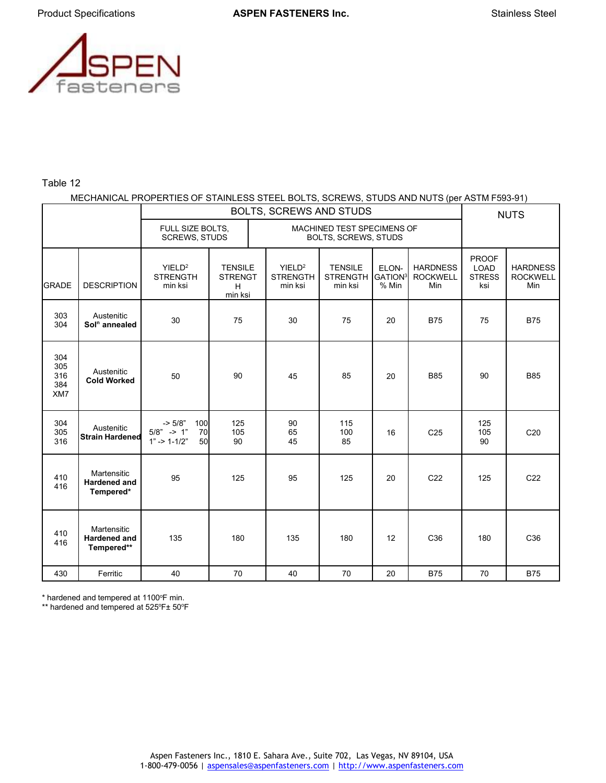

#### Table 12

#### MECHANICAL PROPERTIES OF STAINLESS STEEL BOLTS, SCREWS, STUDS AND NUTS (per ASTM F593-91)

|                                 |                                                  | BOLTS, SCREWS AND STUDS                                         |                                                  |                                                    |                                              |                                       |                                           | <b>NUTS</b>                                         |                                           |
|---------------------------------|--------------------------------------------------|-----------------------------------------------------------------|--------------------------------------------------|----------------------------------------------------|----------------------------------------------|---------------------------------------|-------------------------------------------|-----------------------------------------------------|-------------------------------------------|
|                                 |                                                  | FULL SIZE BOLTS,<br><b>SCREWS, STUDS</b>                        |                                                  | MACHINED TEST SPECIMENS OF<br>BOLTS, SCREWS, STUDS |                                              |                                       |                                           |                                                     |                                           |
| <b>GRADE</b>                    | <b>DESCRIPTION</b>                               | YIELD <sup>2</sup><br><b>STRENGTH</b><br>min ksi                | <b>TENSILE</b><br><b>STRENGT</b><br>н<br>min ksi | YIELD <sup>2</sup><br><b>STRENGTH</b><br>min ksi   | <b>TENSILE</b><br><b>STRENGTH</b><br>min ksi | ELON-<br>GATION <sup>3</sup><br>% Min | <b>HARDNESS</b><br><b>ROCKWELL</b><br>Min | <b>PROOF</b><br><b>LOAD</b><br><b>STRESS</b><br>ksi | <b>HARDNESS</b><br><b>ROCKWELL</b><br>Min |
| 303<br>304                      | Austenitic<br>Sol <sup>n</sup> annealed          | 30                                                              | 75                                               | 30                                                 | 75                                           | 20                                    | <b>B75</b>                                | 75                                                  | <b>B75</b>                                |
| 304<br>305<br>316<br>384<br>XM7 | Austenitic<br><b>Cold Worked</b>                 | 50                                                              | 90                                               | 45                                                 | 85                                           | 20                                    | <b>B85</b>                                | 90                                                  | <b>B85</b>                                |
| 304<br>305<br>316               | Austenitic<br><b>Strain Hardened</b>             | $-5/8"$<br>100<br>$5/8"$ -> 1"<br>70<br>$1" - > 1 - 1/2"$<br>50 | 125<br>105<br>90                                 | 90<br>65<br>45                                     | 115<br>100<br>85                             | 16                                    | C <sub>25</sub>                           | 125<br>105<br>90                                    | C <sub>20</sub>                           |
| 410<br>416                      | Martensitic<br><b>Hardened and</b><br>Tempered*  | 95                                                              | 125                                              | 95                                                 | 125                                          | 20                                    | C <sub>22</sub>                           | 125                                                 | C <sub>22</sub>                           |
| 410<br>416                      | Martensitic<br><b>Hardened and</b><br>Tempered** | 135                                                             | 180                                              | 135                                                | 180                                          | 12                                    | C <sub>36</sub>                           | 180                                                 | C36                                       |
| 430                             | Ferritic                                         | 40                                                              | 70                                               | 40                                                 | 70                                           | 20                                    | <b>B75</b>                                | 70                                                  | <b>B75</b>                                |

\* hardened and tempered at 1100°F min.

\*\* hardened and tempered at 525°F± 50°F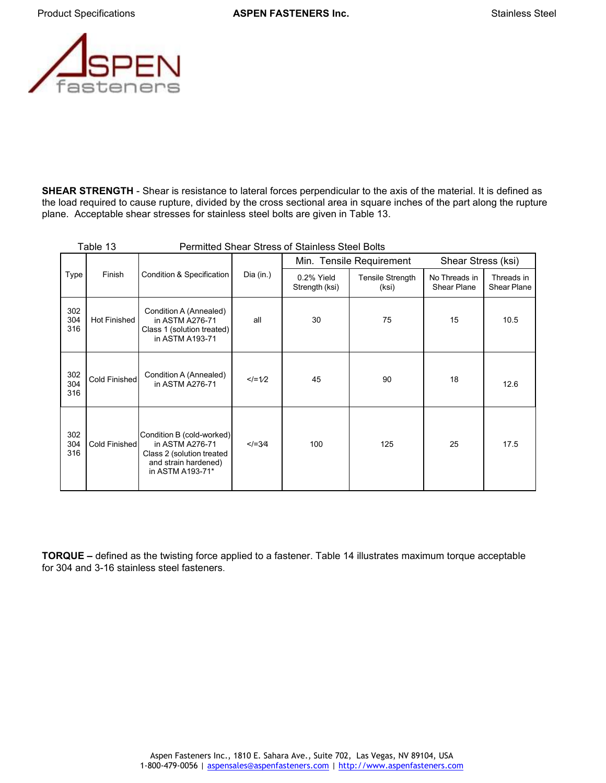

**SHEAR STRENGTH** - Shear is resistance to lateral forces perpendicular to the axis of the material. It is defined as the load required to cause rupture, divided by the cross sectional area in square inches of the part along the rupture plane. Acceptable shear stresses for stainless steel bolts are given in Table 13.

| <b>Permitted Shear Stress of Stainless Steel Bolts</b><br>Table 13 |                     |                                                                                                                       |           |                              |                                  |                                     |                           |
|--------------------------------------------------------------------|---------------------|-----------------------------------------------------------------------------------------------------------------------|-----------|------------------------------|----------------------------------|-------------------------------------|---------------------------|
|                                                                    | Finish              | Condition & Specification                                                                                             | Dia (in.) |                              | Min. Tensile Requirement         | Shear Stress (ksi)                  |                           |
| Type                                                               |                     |                                                                                                                       |           | 0.2% Yield<br>Strength (ksi) | <b>Tensile Strength</b><br>(ksi) | No Threads in<br><b>Shear Plane</b> | Threads in<br>Shear Plane |
| 302<br>304<br>316                                                  | <b>Hot Finished</b> | Condition A (Annealed)<br>in ASTM A276-71<br>Class 1 (solution treated)<br>in ASTM A193-71                            | all       | 30                           | 75                               | 15                                  | 10.5                      |
| 302<br>304<br>316                                                  | Cold Finished       | Condition A (Annealed)<br>in ASTM A276-71                                                                             | $<=1/2$   | 45                           | 90                               | 18                                  | 12.6                      |
| 302<br>304<br>316                                                  | Cold Finished       | Condition B (cold-worked)<br>in ASTM A276-71<br>Class 2 (solution treated<br>and strain hardened)<br>in ASTM A193-71* | $$        | 100                          | 125                              | 25                                  | 17.5                      |

**TORQUE –** defined as the twisting force applied to a fastener. Table 14 illustrates maximum torque acceptable for 304 and 3-16 stainless steel fasteners.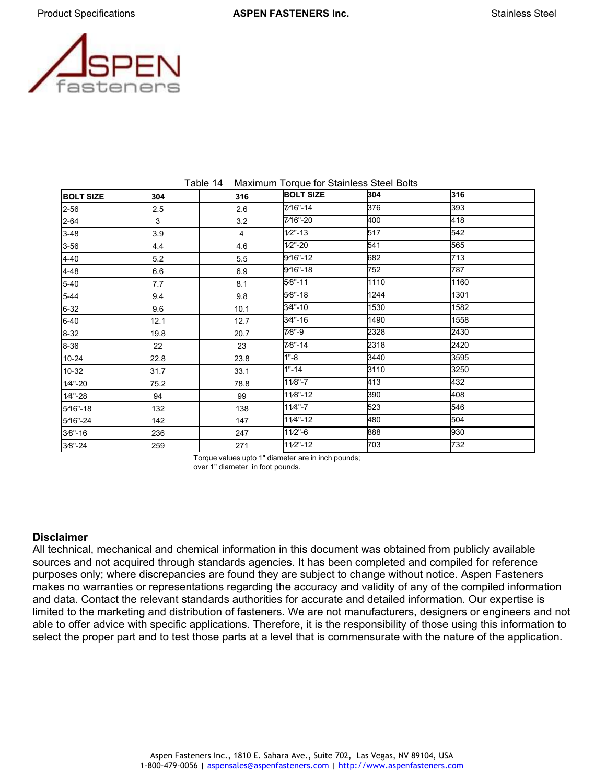

| Maximum Torque for Stainless Steel Bolts<br>Table 14 |      |      |                  |      |      |  |  |  |
|------------------------------------------------------|------|------|------------------|------|------|--|--|--|
| <b>BOLT SIZE</b>                                     | 304  | 316  | <b>BOLT SIZE</b> | 304  | 316  |  |  |  |
| 2-56                                                 | 2.5  | 2.6  | 7/16"-14         | 376  | 393  |  |  |  |
| 2-64                                                 | 3    | 3.2  | 7/16"-20         | 400  | 418  |  |  |  |
| 3-48                                                 | 3.9  | 4    | $1/2" - 13$      | 517  | 542  |  |  |  |
| 3-56                                                 | 4.4  | 4.6  | $1/2" - 20$      | 541  | 565  |  |  |  |
| 4-40                                                 | 5.2  | 5.5  | 9/16"-12         | 682  | 713  |  |  |  |
| 4-48                                                 | 6.6  | 6.9  | 9/16"-18         | 752  | 787  |  |  |  |
| 5-40                                                 | 7.7  | 8.1  | $5/8" - 11$      | 1110 | 1160 |  |  |  |
| 5-44                                                 | 9.4  | 9.8  | $5/8" - 18$      | 1244 | 1301 |  |  |  |
| 6-32                                                 | 9.6  | 10.1 | 3⁄4"-10          | 1530 | 1582 |  |  |  |
| $6 - 40$                                             | 12.1 | 12.7 | 3⁄4"-16          | 1490 | 1558 |  |  |  |
| $8 - 32$                                             | 19.8 | 20.7 | $7/8" - 9$       | 2328 | 2430 |  |  |  |
| 8-36                                                 | 22   | 23   | $7/8" - 14$      | 2318 | 2420 |  |  |  |
| 10-24                                                | 22.8 | 23.8 | $1 - 8$          | 3440 | 3595 |  |  |  |
| 10-32                                                | 31.7 | 33.1 | $1 - 14$         | 3110 | 3250 |  |  |  |
| $1/4$ "-20                                           | 75.2 | 78.8 | $11/8" - 7$      | 413  | 432  |  |  |  |
| $1/4$ "-28                                           | 94   | 99   | 11/8"-12         | 390  | 408  |  |  |  |
| 5⁄16"-18                                             | 132  | 138  | 11/4"-7          | 523  | 546  |  |  |  |
| 5/16"-24                                             | 142  | 147  | 11/4"-12         | 480  | 504  |  |  |  |
| 3⁄8"-16                                              | 236  | 247  | $11/2$ "-6       | 888  | 930  |  |  |  |
| $38 - 24$                                            | 259  | 271  | $11/2" - 12$     | 703  | 732  |  |  |  |

Torque values upto 1" diameter are in inch pounds; over 1" diameter in foot pounds.

#### **Disclaimer**

All technical, mechanical and chemical information in this document was obtained from publicly available sources and not acquired through standards agencies. It has been completed and compiled for reference purposes only; where discrepancies are found they are subject to change without notice. Aspen Fasteners makes no warranties or representations regarding the accuracy and validity of any of the compiled information and data. Contact the relevant standards authorities for accurate and detailed information. Our expertise is limited to the marketing and distribution of fasteners. We are not manufacturers, designers or engineers and not able to offer advice with specific applications. Therefore, it is the responsibility of those using this information to select the proper part and to test those parts at a level that is commensurate with the nature of the application.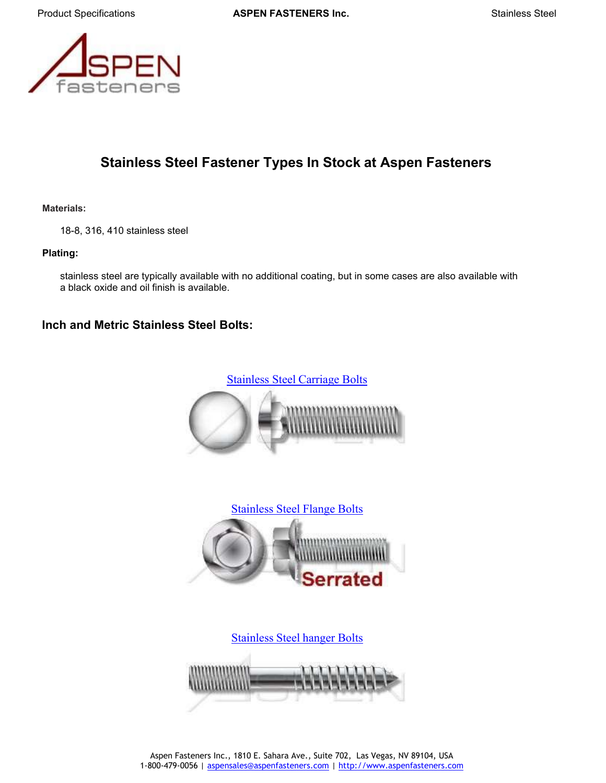

# **Stainless Steel Fastener Types In Stock at Aspen Fasteners**

**Materials:**

18-8, 316, 410 stainless steel

#### **Plating:**

stainless steel are typically available with no additional coating, but in some cases are also available with a black oxide and oil finish is available.

## **Inch and Metric Stainless Steel Bolts:**





Stainless Steel [hanger Bolts](https://www.aspenfasteners.com/screws/dowel-screws-and-hanger-bolts/?_bc_fsnf=1&facet_category=Hanger%20Bolts&facet_material=Stainless%20Steel)

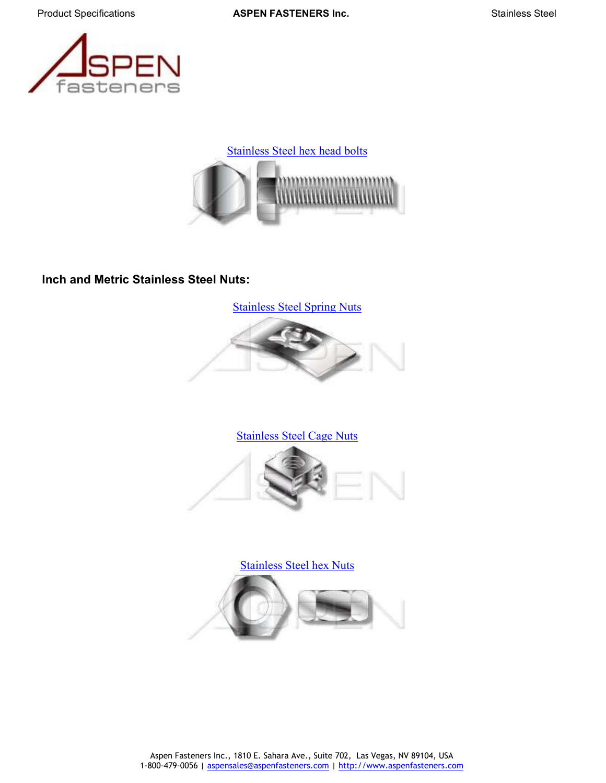



# **Inch and Metric Stainless Steel Nuts:**

[Stainless](https://www.aspenfasteners.com/nuts/spring-nuts/?_bc_fsnf=1&facet_material=Stainless%20Steel) Steel Spring Nuts



## [Stainless](https://www.aspenfasteners.com/nuts/cage-nuts/?_bc_fsnf=1&facet_material=Stainless%20Steel) Steel Cage Nuts





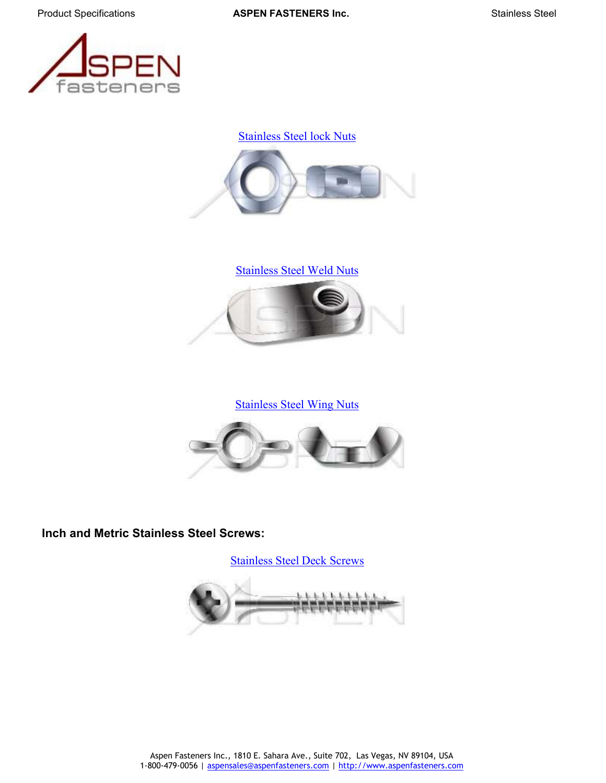

[Stainless](https://www.aspenfasteners.com/nuts/lock-nuts/?_bc_fsnf=1&facet_material=Stainless%20Steel) Steel lock Nuts



[Stainless](https://www.aspenfasteners.com/nuts/weld-nuts/?_bc_fsnf=1&facet_material=Stainless%20Steel) Steel Weld Nuts



[Stainless](https://www.aspenfasteners.com/nuts/thumb-and-wing-nuts/?_bc_fsnf=1&facet_material=Stainless%20Steel) Steel Wing Nuts



**Inch and Metric Stainless Steel Screws:**

[Stainless](https://www.aspenfasteners.com/screws/deck-and-drywall-screws/?_bc_fsnf=1&facet_material=Stainless%20Steel) Steel Deck Screws

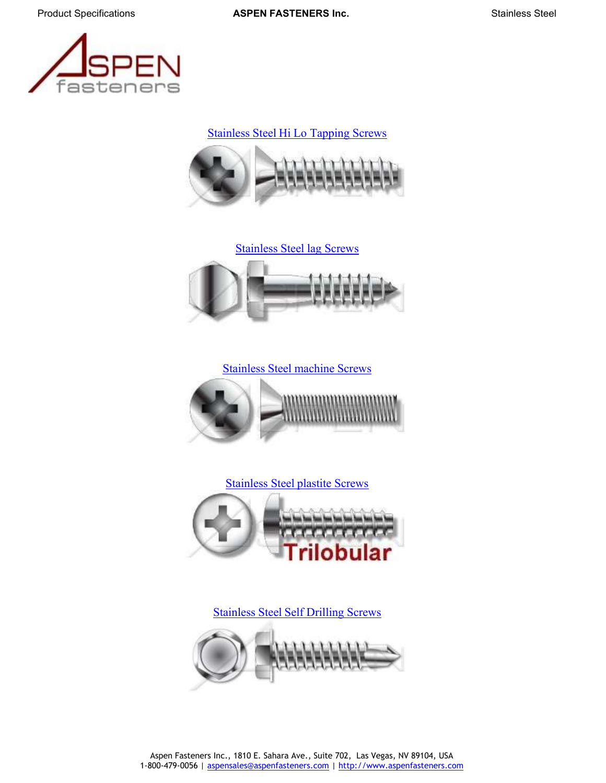

Stainless Steel Hi Lo [Tapping Screws](https://www.aspenfasteners.com/screws/sheet-metal-screws-and-self-drilling-screws/?_bc_fsnf=1&facet_material=Stainless%20Steel)









[Stainless](https://www.aspenfasteners.com/screws/sheet-metal-screws-and-self-drilling-screws/?_bc_fsnf=1&facet_material=Stainless%20Steel) Steel Self Drilling Screws

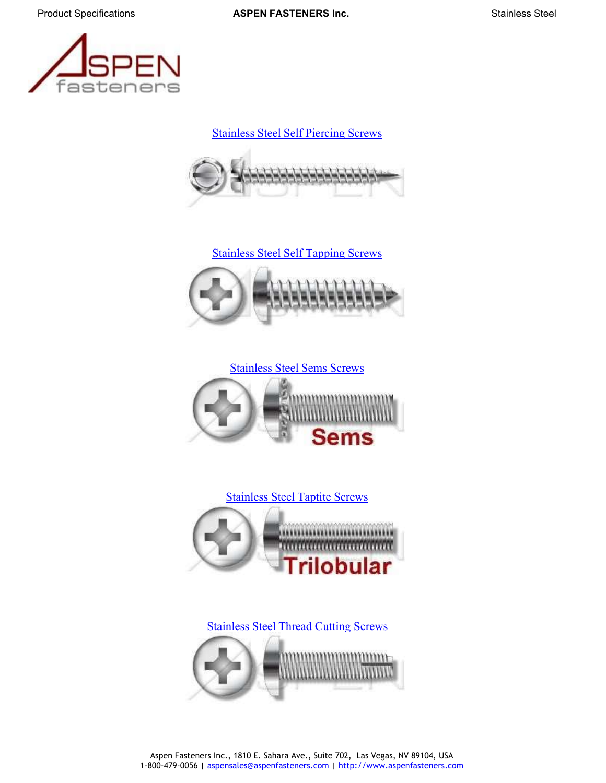

[Stainless](https://www.aspenfasteners.com/screws/sheet-metal-screws-and-self-drilling-screws/?_bc_fsnf=1&facet_category=Self-Piercing%20Screws&facet_material=Stainless%20Steel) Steel Self Piercing Screws













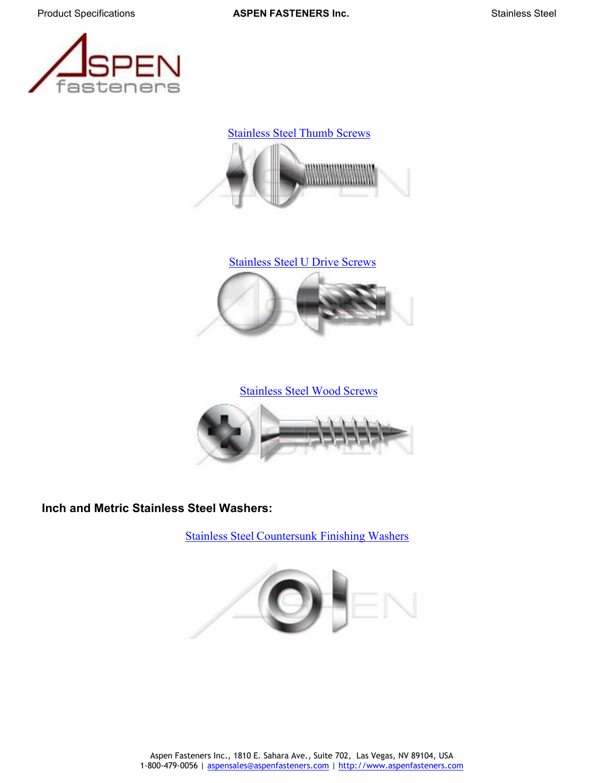







[Stainless](https://www.aspenfasteners.com/screws/lag-and-wood-screws/?_bc_fsnf=1&facet_category=Wood%20Screws&facet_material=Stainless%20Steel) Steel Wood Screws



**Inch and Metric Stainless Steel Washers:**

Stainless Steel [Countersunk](https://www.aspenfasteners.com/washers-and-rings/finishing-washers/?_bc_fsnf=1&facet_material=Stainless%20Steel) Finishing Washers